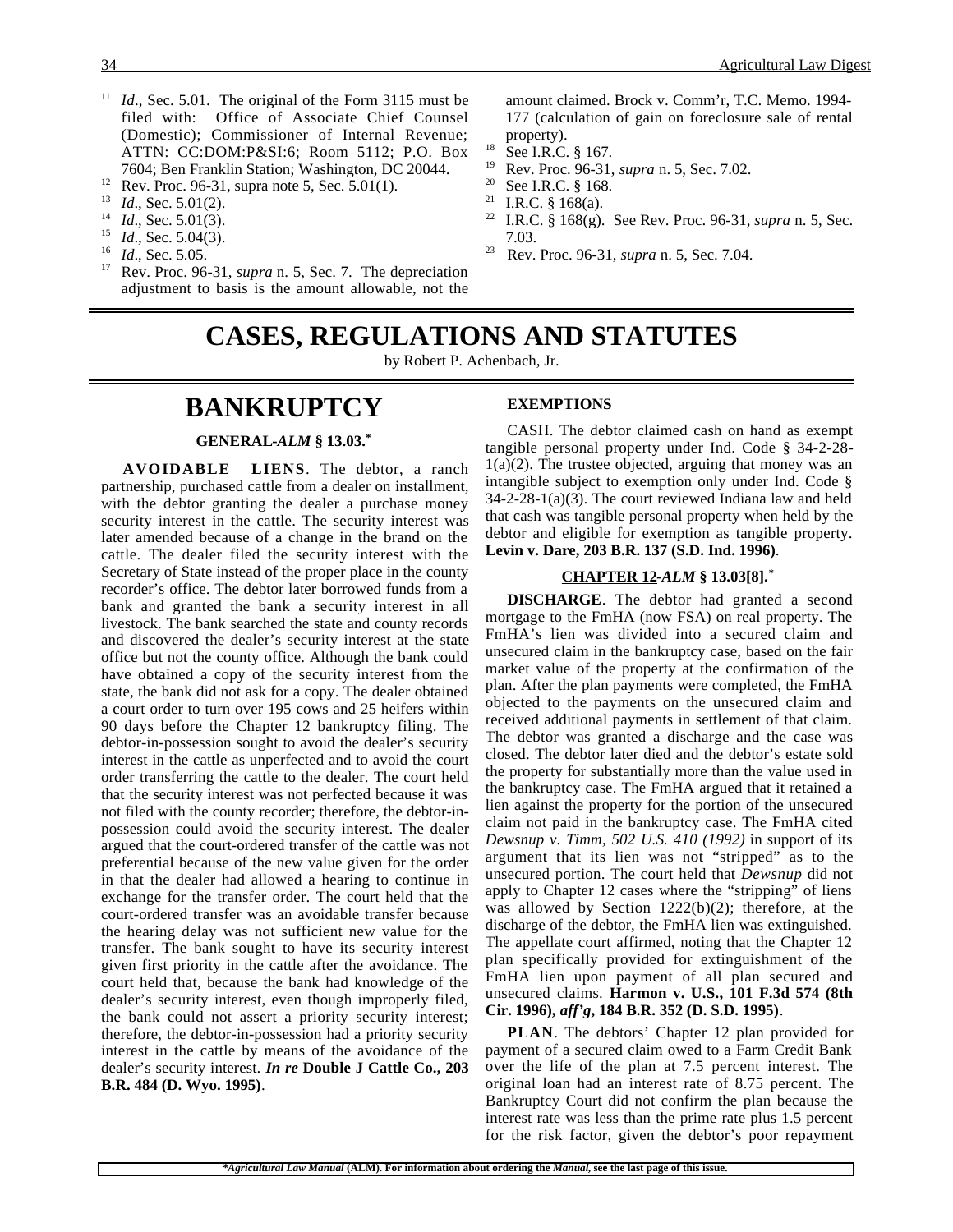- <sup>11</sup> *Id.*, Sec. 5.01. The original of the Form 3115 must be filed with: Office of Associate Chief Counsel (Domestic); Commissioner of Internal Revenue; ATTN: CC:DOM:P&SI:6; Room 5112; P.O. Box 7604; Ben Franklin Station; Washington, DC 20044.
- <sup>12</sup> Rev. Proc. 96-31, supra note 5, Sec. 5.01(1).<br><sup>13</sup> *Id.* Sec. 5.01(2).
- *Id.*, Sec. 5.01(2).
- <sup>14</sup> *Id*., Sec. 5.01(3).
- $15$  *Id.*, Sec. 5.04(3).
- $^{16}$  *Id.*, Sec. 5.05.
- Rev. Proc. 96-31, *supra* n. 5, Sec. 7. The depreciation adjustment to basis is the amount allowable, not the

amount claimed. Brock v. Comm'r, T.C. Memo. 1994- 177 (calculation of gain on foreclosure sale of rental property).

- $^{18}$  See I.R.C. § 167.
- <sup>19</sup> Rev. Proc. 96-31, *supra* n. 5, Sec. 7.02.
- <sup>20</sup> See I.R.C. § 168.
- I.R.C. § 168(a).
- <sup>22</sup> I.R.C. § 168(g). See Rev. Proc. 96-31, *supra* n. 5, Sec. 7.03.
- <sup>23</sup> Rev. Proc. 96-31, *supra* n. 5, Sec. 7.04.

# **CASES, REGULATIONS AND STATUTES**

by Robert P. Achenbach, Jr.

# **BANKRUPTCY**

#### **GENERAL -***ALM* **§ 13.03.\***

**AVOIDABLE LIENS**. The debtor, a ranch partnership, purchased cattle from a dealer on installment, with the debtor granting the dealer a purchase money security interest in the cattle. The security interest was later amended because of a change in the brand on the cattle. The dealer filed the security interest with the Secretary of State instead of the proper place in the county recorder's office. The debtor later borrowed funds from a bank and granted the bank a security interest in all livestock. The bank searched the state and county records and discovered the dealer's security interest at the state office but not the county office. Although the bank could have obtained a copy of the security interest from the state, the bank did not ask for a copy. The dealer obtained a court order to turn over 195 cows and 25 heifers within 90 days before the Chapter 12 bankruptcy filing. The debtor-in-possession sought to avoid the dealer's security interest in the cattle as unperfected and to avoid the court order transferring the cattle to the dealer. The court held that the security interest was not perfected because it was not filed with the county recorder; therefore, the debtor-inpossession could avoid the security interest. The dealer argued that the court-ordered transfer of the cattle was not preferential because of the new value given for the order in that the dealer had allowed a hearing to continue in exchange for the transfer order. The court held that the court-ordered transfer was an avoidable transfer because the hearing delay was not sufficient new value for the transfer. The bank sought to have its security interest given first priority in the cattle after the avoidance. The court held that, because the bank had knowledge of the dealer's security interest, even though improperly filed, the bank could not assert a priority security interest; therefore, the debtor-in-possession had a priority security interest in the cattle by means of the avoidance of the dealer's security interest. *In re* **Double J Cattle Co., 203 B.R. 484 (D. Wyo. 1995)**.

#### **EXEMPTIONS**

CASH. The debtor claimed cash on hand as exempt tangible personal property under Ind. Code § 34-2-28-  $1(a)(2)$ . The trustee objected, arguing that money was an intangible subject to exemption only under Ind. Code § 34-2-28-1(a)(3). The court reviewed Indiana law and held that cash was tangible personal property when held by the debtor and eligible for exemption as tangible property. **Levin v. Dare, 203 B.R. 137 (S.D. Ind. 1996)**.

#### **CHAPTER 12 -***ALM* **§ 13.03[8].\***

**DISCHARGE**. The debtor had granted a second mortgage to the FmHA (now FSA) on real property. The FmHA's lien was divided into a secured claim and unsecured claim in the bankruptcy case, based on the fair market value of the property at the confirmation of the plan. After the plan payments were completed, the FmHA objected to the payments on the unsecured claim and received additional payments in settlement of that claim. The debtor was granted a discharge and the case was closed. The debtor later died and the debtor's estate sold the property for substantially more than the value used in the bankruptcy case. The FmHA argued that it retained a lien against the property for the portion of the unsecured claim not paid in the bankruptcy case. The FmHA cited *Dewsnup v. Timm, 502 U.S. 410 (1992)* in support of its argument that its lien was not "stripped" as to the unsecured portion. The court held that *Dewsnup* did not apply to Chapter 12 cases where the "stripping" of liens was allowed by Section 1222(b)(2); therefore, at the discharge of the debtor, the FmHA lien was extinguished. The appellate court affirmed, noting that the Chapter 12 plan specifically provided for extinguishment of the FmHA lien upon payment of all plan secured and unsecured claims. **Harmon v. U.S., 101 F.3d 574 (8th Cir. 1996),** *aff'g***, 184 B.R. 352 (D. S.D. 1995)**.

**PLAN**. The debtors' Chapter 12 plan provided for payment of a secured claim owed to a Farm Credit Bank over the life of the plan at 7.5 percent interest. The original loan had an interest rate of 8.75 percent. The Bankruptcy Court did not confirm the plan because the interest rate was less than the prime rate plus 1.5 percent for the risk factor, given the debtor's poor repayment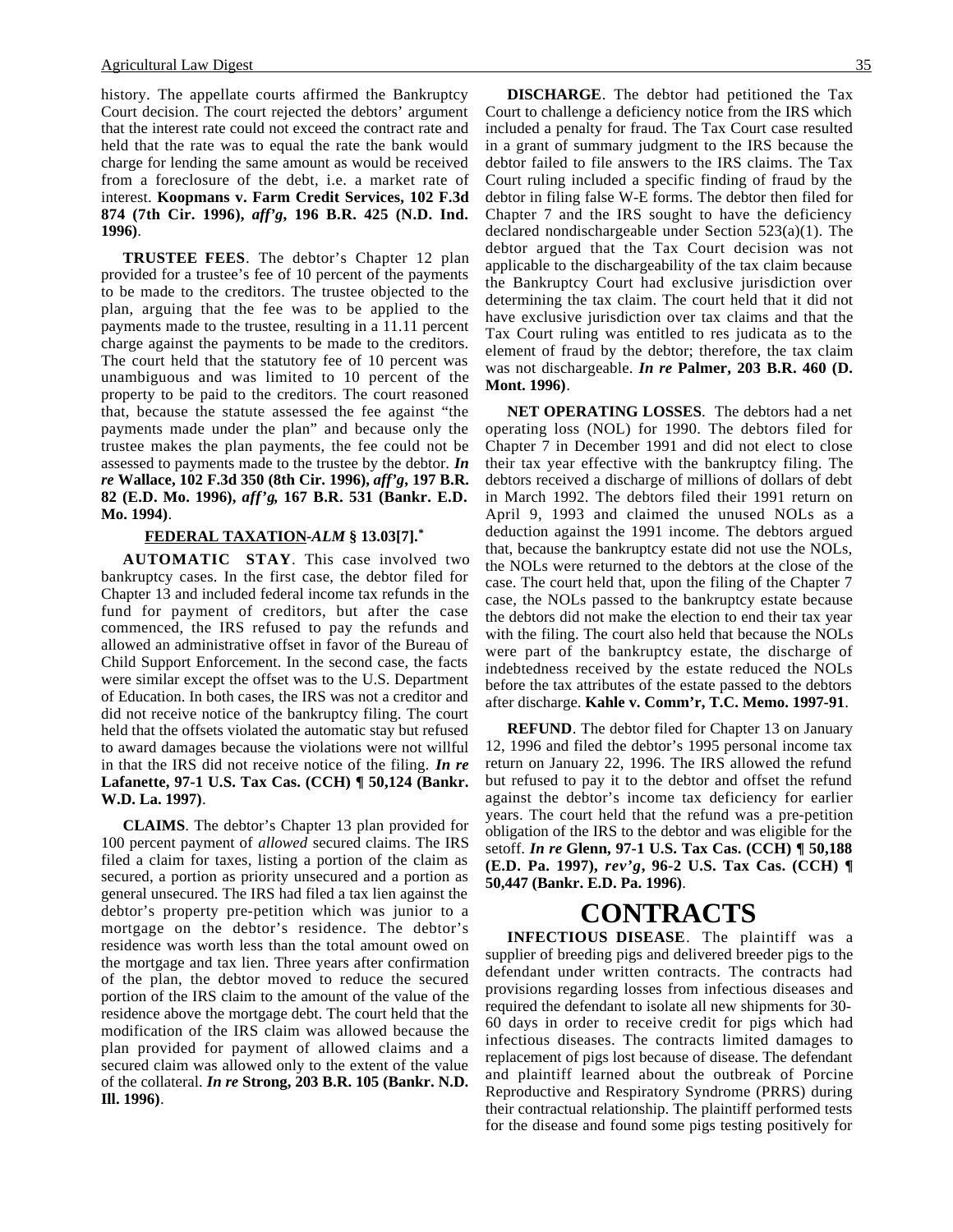history. The appellate courts affirmed the Bankruptcy Court decision. The court rejected the debtors' argument that the interest rate could not exceed the contract rate and held that the rate was to equal the rate the bank would charge for lending the same amount as would be received from a foreclosure of the debt, i.e. a market rate of interest. **Koopmans v. Farm Credit Services, 102 F.3d 874 (7th Cir. 1996),** *aff'g***, 196 B.R. 425 (N.D. Ind. 1996)**.

**TRUSTEE FEES**. The debtor's Chapter 12 plan provided for a trustee's fee of 10 percent of the payments to be made to the creditors. The trustee objected to the plan, arguing that the fee was to be applied to the payments made to the trustee, resulting in a 11.11 percent charge against the payments to be made to the creditors. The court held that the statutory fee of 10 percent was unambiguous and was limited to 10 percent of the property to be paid to the creditors. The court reasoned that, because the statute assessed the fee against "the payments made under the plan" and because only the trustee makes the plan payments, the fee could not be assessed to payments made to the trustee by the debtor. *In re* **Wallace, 102 F.3d 350 (8th Cir. 1996),** *aff'g***, 197 B.R. 82 (E.D. Mo. 1996),** *aff'g***, 167 B.R. 531 (Bankr. E.D. Mo. 1994)**.

#### **FEDERAL TAXATION -***ALM* **§ 13.03[7].\***

**AUTOMATIC STAY**. This case involved two bankruptcy cases. In the first case, the debtor filed for Chapter 13 and included federal income tax refunds in the fund for payment of creditors, but after the case commenced, the IRS refused to pay the refunds and allowed an administrative offset in favor of the Bureau of Child Support Enforcement. In the second case, the facts were similar except the offset was to the U.S. Department of Education. In both cases, the IRS was not a creditor and did not receive notice of the bankruptcy filing. The court held that the offsets violated the automatic stay but refused to award damages because the violations were not willful in that the IRS did not receive notice of the filing. *In re* **Lafanette, 97-1 U.S. Tax Cas. (CCH) ¶ 50,124 (Bankr. W.D. La. 1997)**.

**CLAIMS**. The debtor's Chapter 13 plan provided for 100 percent payment of *allowed* secured claims. The IRS filed a claim for taxes, listing a portion of the claim as secured, a portion as priority unsecured and a portion as general unsecured. The IRS had filed a tax lien against the debtor's property pre-petition which was junior to a mortgage on the debtor's residence. The debtor's residence was worth less than the total amount owed on the mortgage and tax lien. Three years after confirmation of the plan, the debtor moved to reduce the secured portion of the IRS claim to the amount of the value of the residence above the mortgage debt. The court held that the modification of the IRS claim was allowed because the plan provided for payment of allowed claims and a secured claim was allowed only to the extent of the value of the collateral. *In re* **Strong, 203 B.R. 105 (Bankr. N.D. Ill. 1996)**.

**DISCHARGE**. The debtor had petitioned the Tax Court to challenge a deficiency notice from the IRS which included a penalty for fraud. The Tax Court case resulted in a grant of summary judgment to the IRS because the debtor failed to file answers to the IRS claims. The Tax Court ruling included a specific finding of fraud by the debtor in filing false W-E forms. The debtor then filed for Chapter 7 and the IRS sought to have the deficiency declared nondischargeable under Section 523(a)(1). The debtor argued that the Tax Court decision was not applicable to the dischargeability of the tax claim because the Bankruptcy Court had exclusive jurisdiction over determining the tax claim. The court held that it did not have exclusive jurisdiction over tax claims and that the Tax Court ruling was entitled to res judicata as to the element of fraud by the debtor; therefore, the tax claim was not dischargeable. *In re* **Palmer, 203 B.R. 460 (D. Mont. 1996)**.

**NET OPERATING LOSSES**. The debtors had a net operating loss (NOL) for 1990. The debtors filed for Chapter 7 in December 1991 and did not elect to close their tax year effective with the bankruptcy filing. The debtors received a discharge of millions of dollars of debt in March 1992. The debtors filed their 1991 return on April 9, 1993 and claimed the unused NOLs as a deduction against the 1991 income. The debtors argued that, because the bankruptcy estate did not use the NOLs, the NOLs were returned to the debtors at the close of the case. The court held that, upon the filing of the Chapter 7 case, the NOLs passed to the bankruptcy estate because the debtors did not make the election to end their tax year with the filing. The court also held that because the NOLs were part of the bankruptcy estate, the discharge of indebtedness received by the estate reduced the NOLs before the tax attributes of the estate passed to the debtors after discharge. **Kahle v. Comm'r, T.C. Memo. 1997-91**.

**REFUND**. The debtor filed for Chapter 13 on January 12, 1996 and filed the debtor's 1995 personal income tax return on January 22, 1996. The IRS allowed the refund but refused to pay it to the debtor and offset the refund against the debtor's income tax deficiency for earlier years. The court held that the refund was a pre-petition obligation of the IRS to the debtor and was eligible for the setoff. *In re* **Glenn, 97-1 U.S. Tax Cas. (CCH) ¶ 50,188 (E.D. Pa. 1997),** *rev'g***, 96-2 U.S. Tax Cas. (CCH) ¶ 50,447 (Bankr. E.D. Pa. 1996)**.

### **CONTRACTS**

**INFECTIOUS DISEASE**. The plaintiff was a supplier of breeding pigs and delivered breeder pigs to the defendant under written contracts. The contracts had provisions regarding losses from infectious diseases and required the defendant to isolate all new shipments for 30- 60 days in order to receive credit for pigs which had infectious diseases. The contracts limited damages to replacement of pigs lost because of disease. The defendant and plaintiff learned about the outbreak of Porcine Reproductive and Respiratory Syndrome (PRRS) during their contractual relationship. The plaintiff performed tests for the disease and found some pigs testing positively for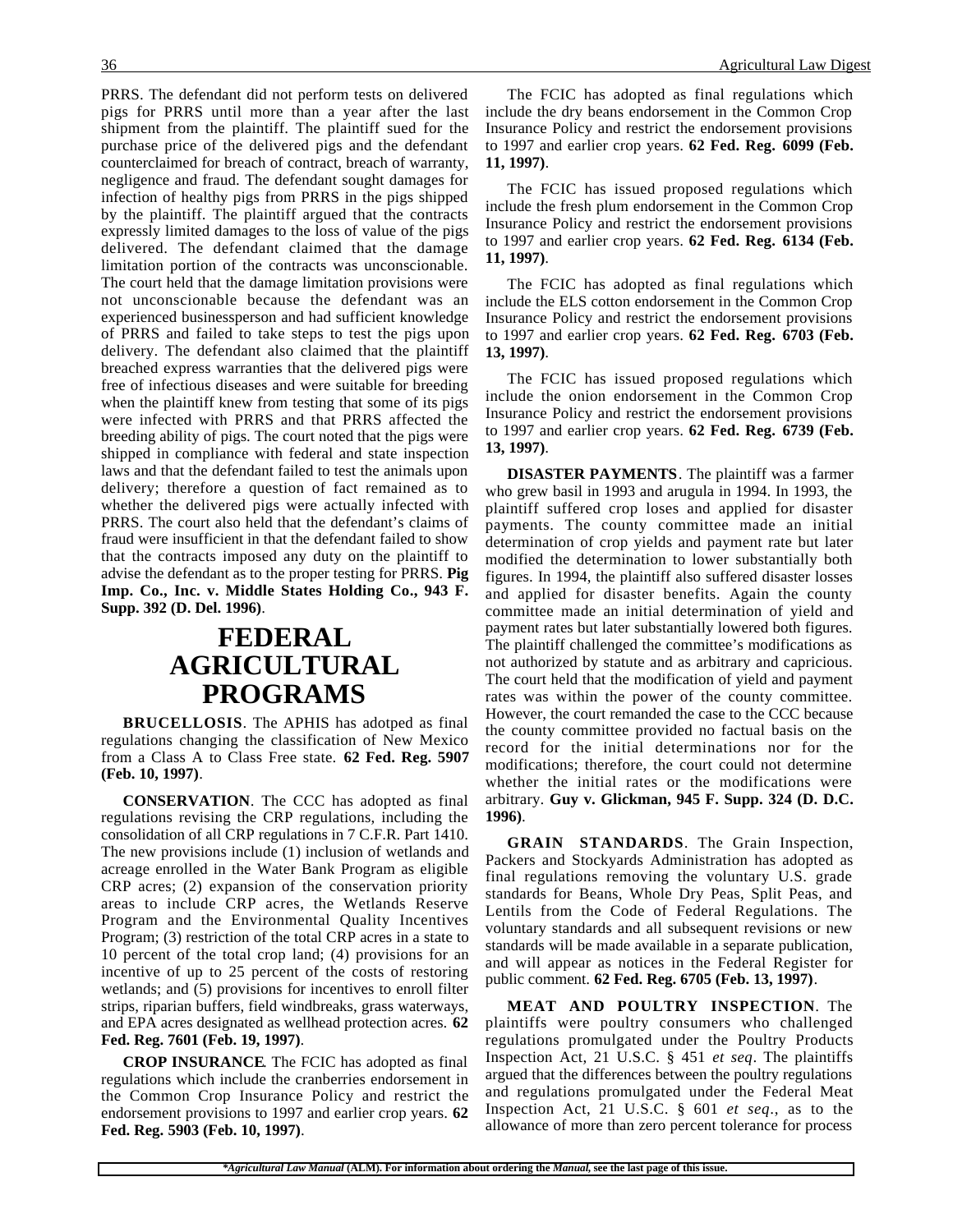PRRS. The defendant did not perform tests on delivered pigs for PRRS until more than a year after the last shipment from the plaintiff. The plaintiff sued for the purchase price of the delivered pigs and the defendant counterclaimed for breach of contract, breach of warranty, negligence and fraud. The defendant sought damages for infection of healthy pigs from PRRS in the pigs shipped by the plaintiff. The plaintiff argued that the contracts expressly limited damages to the loss of value of the pigs delivered. The defendant claimed that the damage limitation portion of the contracts was unconscionable. The court held that the damage limitation provisions were not unconscionable because the defendant was an experienced businessperson and had sufficient knowledge of PRRS and failed to take steps to test the pigs upon delivery. The defendant also claimed that the plaintiff breached express warranties that the delivered pigs were free of infectious diseases and were suitable for breeding when the plaintiff knew from testing that some of its pigs were infected with PRRS and that PRRS affected the breeding ability of pigs. The court noted that the pigs were shipped in compliance with federal and state inspection laws and that the defendant failed to test the animals upon delivery; therefore a question of fact remained as to whether the delivered pigs were actually infected with PRRS. The court also held that the defendant's claims of fraud were insufficient in that the defendant failed to show that the contracts imposed any duty on the plaintiff to advise the defendant as to the proper testing for PRRS. **Pig Imp. Co., Inc. v. Middle States Holding Co., 943 F. Supp. 392 (D. Del. 1996)**.

## **FEDERAL AGRICULTURAL PROGRAMS**

**BRUCELLOSIS**. The APHIS has adotped as final regulations changing the classification of New Mexico from a Class A to Class Free state. **62 Fed. Reg. 5907 (Feb. 10, 1997)**.

**CONSERVATION**. The CCC has adopted as final regulations revising the CRP regulations, including the consolidation of all CRP regulations in 7 C.F.R. Part 1410. The new provisions include (1) inclusion of wetlands and acreage enrolled in the Water Bank Program as eligible CRP acres; (2) expansion of the conservation priority areas to include CRP acres, the Wetlands Reserve Program and the Environmental Quality Incentives Program; (3) restriction of the total CRP acres in a state to 10 percent of the total crop land; (4) provisions for an incentive of up to 25 percent of the costs of restoring wetlands; and (5) provisions for incentives to enroll filter strips, riparian buffers, field windbreaks, grass waterways, and EPA acres designated as wellhead protection acres. **62 Fed. Reg. 7601 (Feb. 19, 1997)**.

**CROP INSURANCE**. The FCIC has adopted as final regulations which include the cranberries endorsement in the Common Crop Insurance Policy and restrict the endorsement provisions to 1997 and earlier crop years. **62 Fed. Reg. 5903 (Feb. 10, 1997)**.

The FCIC has adopted as final regulations which include the dry beans endorsement in the Common Crop Insurance Policy and restrict the endorsement provisions to 1997 and earlier crop years. **62 Fed. Reg. 6099 (Feb. 11, 1997)**.

The FCIC has issued proposed regulations which include the fresh plum endorsement in the Common Crop Insurance Policy and restrict the endorsement provisions to 1997 and earlier crop years. **62 Fed. Reg. 6134 (Feb. 11, 1997)**.

The FCIC has adopted as final regulations which include the ELS cotton endorsement in the Common Crop Insurance Policy and restrict the endorsement provisions to 1997 and earlier crop years. **62 Fed. Reg. 6703 (Feb. 13, 1997)**.

The FCIC has issued proposed regulations which include the onion endorsement in the Common Crop Insurance Policy and restrict the endorsement provisions to 1997 and earlier crop years. **62 Fed. Reg. 6739 (Feb. 13, 1997)**.

**DISASTER PAYMENTS**. The plaintiff was a farmer who grew basil in 1993 and arugula in 1994. In 1993, the plaintiff suffered crop loses and applied for disaster payments. The county committee made an initial determination of crop yields and payment rate but later modified the determination to lower substantially both figures. In 1994, the plaintiff also suffered disaster losses and applied for disaster benefits. Again the county committee made an initial determination of yield and payment rates but later substantially lowered both figures. The plaintiff challenged the committee's modifications as not authorized by statute and as arbitrary and capricious. The court held that the modification of yield and payment rates was within the power of the county committee. However, the court remanded the case to the CCC because the county committee provided no factual basis on the record for the initial determinations nor for the modifications; therefore, the court could not determine whether the initial rates or the modifications were arbitrary. **Guy v. Glickman, 945 F. Supp. 324 (D. D.C. 1996)**.

**GRAIN STANDARDS**. The Grain Inspection, Packers and Stockyards Administration has adopted as final regulations removing the voluntary U.S. grade standards for Beans, Whole Dry Peas, Split Peas, and Lentils from the Code of Federal Regulations. The voluntary standards and all subsequent revisions or new standards will be made available in a separate publication, and will appear as notices in the Federal Register for public comment. **62 Fed. Reg. 6705 (Feb. 13, 1997)**.

**MEAT AND POULTRY INSPECTION**. The plaintiffs were poultry consumers who challenged regulations promulgated under the Poultry Products Inspection Act, 21 U.S.C. § 451 *et seq*. The plaintiffs argued that the differences between the poultry regulations and regulations promulgated under the Federal Meat Inspection Act, 21 U.S.C. § 601 *et seq*., as to the allowance of more than zero percent tolerance for process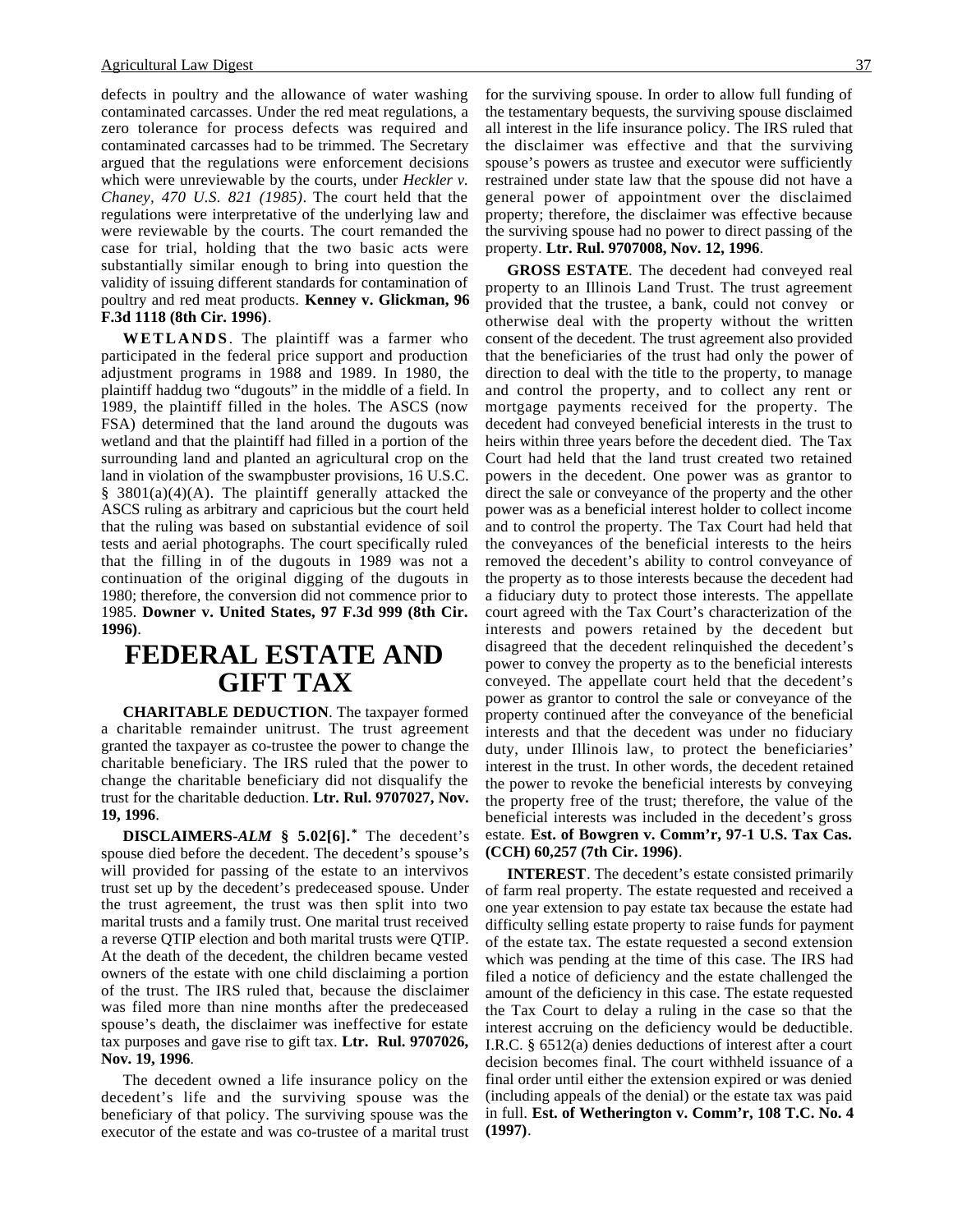defects in poultry and the allowance of water washing contaminated carcasses. Under the red meat regulations, a zero tolerance for process defects was required and contaminated carcasses had to be trimmed. The Secretary argued that the regulations were enforcement decisions which were unreviewable by the courts, under *Heckler v. Chaney, 470 U.S. 821 (1985)*. The court held that the regulations were interpretative of the underlying law and were reviewable by the courts. The court remanded the case for trial, holding that the two basic acts were substantially similar enough to bring into question the validity of issuing different standards for contamination of poultry and red meat products. **Kenney v. Glickman, 96 F.3d 1118 (8th Cir. 1996)**.

**WETLANDS**. The plaintiff was a farmer who participated in the federal price support and production adjustment programs in 1988 and 1989. In 1980, the plaintiff haddug two "dugouts" in the middle of a field. In 1989, the plaintiff filled in the holes. The ASCS (now FSA) determined that the land around the dugouts was wetland and that the plaintiff had filled in a portion of the surrounding land and planted an agricultural crop on the land in violation of the swampbuster provisions, 16 U.S.C.  $§$  3801(a)(4)(A). The plaintiff generally attacked the ASCS ruling as arbitrary and capricious but the court held that the ruling was based on substantial evidence of soil tests and aerial photographs. The court specifically ruled that the filling in of the dugouts in 1989 was not a continuation of the original digging of the dugouts in 1980; therefore, the conversion did not commence prior to 1985. **Downer v. United States, 97 F.3d 999 (8th Cir. 1996)**.

# **FEDERAL ESTATE AND GIFT TAX**

**CHARITABLE DEDUCTION**. The taxpayer formed a charitable remainder unitrust. The trust agreement granted the taxpayer as co-trustee the power to change the charitable beneficiary. The IRS ruled that the power to change the charitable beneficiary did not disqualify the trust for the charitable deduction. **Ltr. Rul. 9707027, Nov. 19, 1996**.

**DISCLAIMERS-***ALM* **§ 5.02[6]. \*** The decedent's spouse died before the decedent. The decedent's spouse's will provided for passing of the estate to an intervivos trust set up by the decedent's predeceased spouse. Under the trust agreement, the trust was then split into two marital trusts and a family trust. One marital trust received a reverse QTIP election and both marital trusts were QTIP. At the death of the decedent, the children became vested owners of the estate with one child disclaiming a portion of the trust. The IRS ruled that, because the disclaimer was filed more than nine months after the predeceased spouse's death, the disclaimer was ineffective for estate tax purposes and gave rise to gift tax. **Ltr. Rul. 9707026, Nov. 19, 1996**.

The decedent owned a life insurance policy on the decedent's life and the surviving spouse was the beneficiary of that policy. The surviving spouse was the executor of the estate and was co-trustee of a marital trust for the surviving spouse. In order to allow full funding of the testamentary bequests, the surviving spouse disclaimed all interest in the life insurance policy. The IRS ruled that the disclaimer was effective and that the surviving spouse's powers as trustee and executor were sufficiently restrained under state law that the spouse did not have a general power of appointment over the disclaimed property; therefore, the disclaimer was effective because the surviving spouse had no power to direct passing of the property. **Ltr. Rul. 9707008, Nov. 12, 1996**.

**GROSS ESTATE**. The decedent had conveyed real property to an Illinois Land Trust. The trust agreement provided that the trustee, a bank, could not convey or otherwise deal with the property without the written consent of the decedent. The trust agreement also provided that the beneficiaries of the trust had only the power of direction to deal with the title to the property, to manage and control the property, and to collect any rent or mortgage payments received for the property. The decedent had conveyed beneficial interests in the trust to heirs within three years before the decedent died. The Tax Court had held that the land trust created two retained powers in the decedent. One power was as grantor to direct the sale or conveyance of the property and the other power was as a beneficial interest holder to collect income and to control the property. The Tax Court had held that the conveyances of the beneficial interests to the heirs removed the decedent's ability to control conveyance of the property as to those interests because the decedent had a fiduciary duty to protect those interests. The appellate court agreed with the Tax Court's characterization of the interests and powers retained by the decedent but disagreed that the decedent relinquished the decedent's power to convey the property as to the beneficial interests conveyed. The appellate court held that the decedent's power as grantor to control the sale or conveyance of the property continued after the conveyance of the beneficial interests and that the decedent was under no fiduciary duty, under Illinois law, to protect the beneficiaries' interest in the trust. In other words, the decedent retained the power to revoke the beneficial interests by conveying the property free of the trust; therefore, the value of the beneficial interests was included in the decedent's gross estate. **Est. of Bowgren v. Comm'r, 97-1 U.S. Tax Cas. (CCH) 60,257 (7th Cir. 1996)**.

**INTEREST**. The decedent's estate consisted primarily of farm real property. The estate requested and received a one year extension to pay estate tax because the estate had difficulty selling estate property to raise funds for payment of the estate tax. The estate requested a second extension which was pending at the time of this case. The IRS had filed a notice of deficiency and the estate challenged the amount of the deficiency in this case. The estate requested the Tax Court to delay a ruling in the case so that the interest accruing on the deficiency would be deductible. I.R.C. § 6512(a) denies deductions of interest after a court decision becomes final. The court withheld issuance of a final order until either the extension expired or was denied (including appeals of the denial) or the estate tax was paid in full. **Est. of Wetherington v. Comm'r, 108 T.C. No. 4 (1997)**.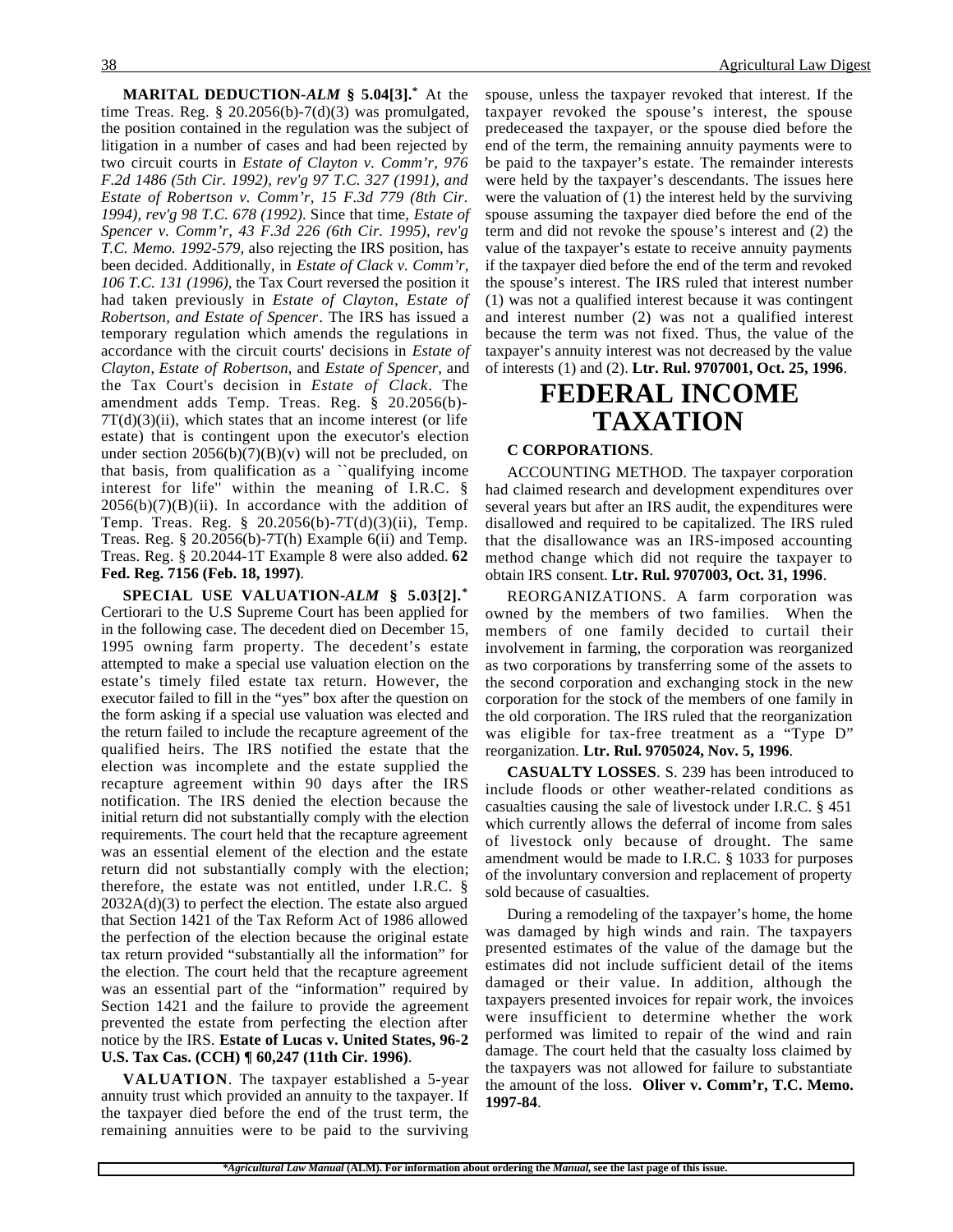**MARITAL DEDUCTION-***ALM* **§ 5.04[3].\*** At the time Treas. Reg. §  $20.2056(b) - 7(d)(3)$  was promulgated, the position contained in the regulation was the subject of litigation in a number of cases and had been rejected by two circuit courts in *Estate of Clayton v. Comm'r, 976 F.2d 1486 (5th Cir. 1992), rev'g 97 T.C. 327 (1991), and Estate of Robertson v. Comm'r, 15 F.3d 779 (8th Cir. 1994), rev'g 98 T.C. 678 (1992)*. Since that time, *Estate of Spencer v. Comm'r, 43 F.3d 226 (6th Cir. 1995), rev'g T.C. Memo. 1992-579*, also rejecting the IRS position, has been decided. Additionally, in *Estate of Clack v. Comm'r, 106 T.C. 131 (1996)*, the Tax Court reversed the position it had taken previously in *Estate of Clayton, Estate of Robertson, and Estate of Spencer*. The IRS has issued a temporary regulation which amends the regulations in accordance with the circuit courts' decisions in *Estate of Clayton*, *Estate of Robertson*, and *Estate of Spencer*, and the Tax Court's decision in *Estate of Clack*. The amendment adds Temp. Treas. Reg. § 20.2056(b)-  $7T(d)(3)(ii)$ , which states that an income interest (or life estate) that is contingent upon the executor's election under section  $2056(b)(7)(B)(v)$  will not be precluded, on that basis, from qualification as a ``qualifying income interest for life'' within the meaning of I.R.C. §  $2056(b)(7)(B)(ii)$ . In accordance with the addition of Temp. Treas. Reg. § 20.2056(b)-7T(d)(3)(ii), Temp. Treas. Reg. § 20.2056(b)-7T(h) Example 6(ii) and Temp. Treas. Reg. § 20.2044-1T Example 8 were also added. **62 Fed. Reg. 7156 (Feb. 18, 1997)**.

**SPECIAL USE VALUATION-***ALM* **§ 5.03[2].\*** Certiorari to the U.S Supreme Court has been applied for in the following case. The decedent died on December 15, 1995 owning farm property. The decedent's estate attempted to make a special use valuation election on the estate's timely filed estate tax return. However, the executor failed to fill in the "yes" box after the question on the form asking if a special use valuation was elected and the return failed to include the recapture agreement of the qualified heirs. The IRS notified the estate that the election was incomplete and the estate supplied the recapture agreement within 90 days after the IRS notification. The IRS denied the election because the initial return did not substantially comply with the election requirements. The court held that the recapture agreement was an essential element of the election and the estate return did not substantially comply with the election; therefore, the estate was not entitled, under I.R.C. § 2032A(d)(3) to perfect the election. The estate also argued that Section 1421 of the Tax Reform Act of 1986 allowed the perfection of the election because the original estate tax return provided "substantially all the information" for the election. The court held that the recapture agreement was an essential part of the "information" required by Section 1421 and the failure to provide the agreement prevented the estate from perfecting the election after notice by the IRS. **Estate of Lucas v. United States, 96-2 U.S. Tax Cas. (CCH) ¶ 60,247 (11th Cir. 1996)**.

**VALUATION**. The taxpayer established a 5-year annuity trust which provided an annuity to the taxpayer. If the taxpayer died before the end of the trust term, the remaining annuities were to be paid to the surviving spouse, unless the taxpayer revoked that interest. If the taxpayer revoked the spouse's interest, the spouse predeceased the taxpayer, or the spouse died before the end of the term, the remaining annuity payments were to be paid to the taxpayer's estate. The remainder interests were held by the taxpayer's descendants. The issues here were the valuation of (1) the interest held by the surviving spouse assuming the taxpayer died before the end of the term and did not revoke the spouse's interest and (2) the value of the taxpayer's estate to receive annuity payments if the taxpayer died before the end of the term and revoked the spouse's interest. The IRS ruled that interest number (1) was not a qualified interest because it was contingent and interest number (2) was not a qualified interest because the term was not fixed. Thus, the value of the taxpayer's annuity interest was not decreased by the value of interests (1) and (2). **Ltr. Rul. 9707001, Oct. 25, 1996**.

## **FEDERAL INCOME TAXATION**

#### **C CORPORATIONS**.

ACCOUNTING METHOD. The taxpayer corporation had claimed research and development expenditures over several years but after an IRS audit, the expenditures were disallowed and required to be capitalized. The IRS ruled that the disallowance was an IRS-imposed accounting method change which did not require the taxpayer to obtain IRS consent. **Ltr. Rul. 9707003, Oct. 31, 1996**.

REORGANIZATIONS. A farm corporation was owned by the members of two families. When the members of one family decided to curtail their involvement in farming, the corporation was reorganized as two corporations by transferring some of the assets to the second corporation and exchanging stock in the new corporation for the stock of the members of one family in the old corporation. The IRS ruled that the reorganization was eligible for tax-free treatment as a "Type D" reorganization. **Ltr. Rul. 9705024, Nov. 5, 1996**.

**CASUALTY LOSSES**. S. 239 has been introduced to include floods or other weather-related conditions as casualties causing the sale of livestock under I.R.C. § 451 which currently allows the deferral of income from sales of livestock only because of drought. The same amendment would be made to I.R.C. § 1033 for purposes of the involuntary conversion and replacement of property sold because of casualties.

During a remodeling of the taxpayer's home, the home was damaged by high winds and rain. The taxpayers presented estimates of the value of the damage but the estimates did not include sufficient detail of the items damaged or their value. In addition, although the taxpayers presented invoices for repair work, the invoices were insufficient to determine whether the work performed was limited to repair of the wind and rain damage. The court held that the casualty loss claimed by the taxpayers was not allowed for failure to substantiate the amount of the loss. **Oliver v. Comm'r, T.C. Memo. 1997-84**.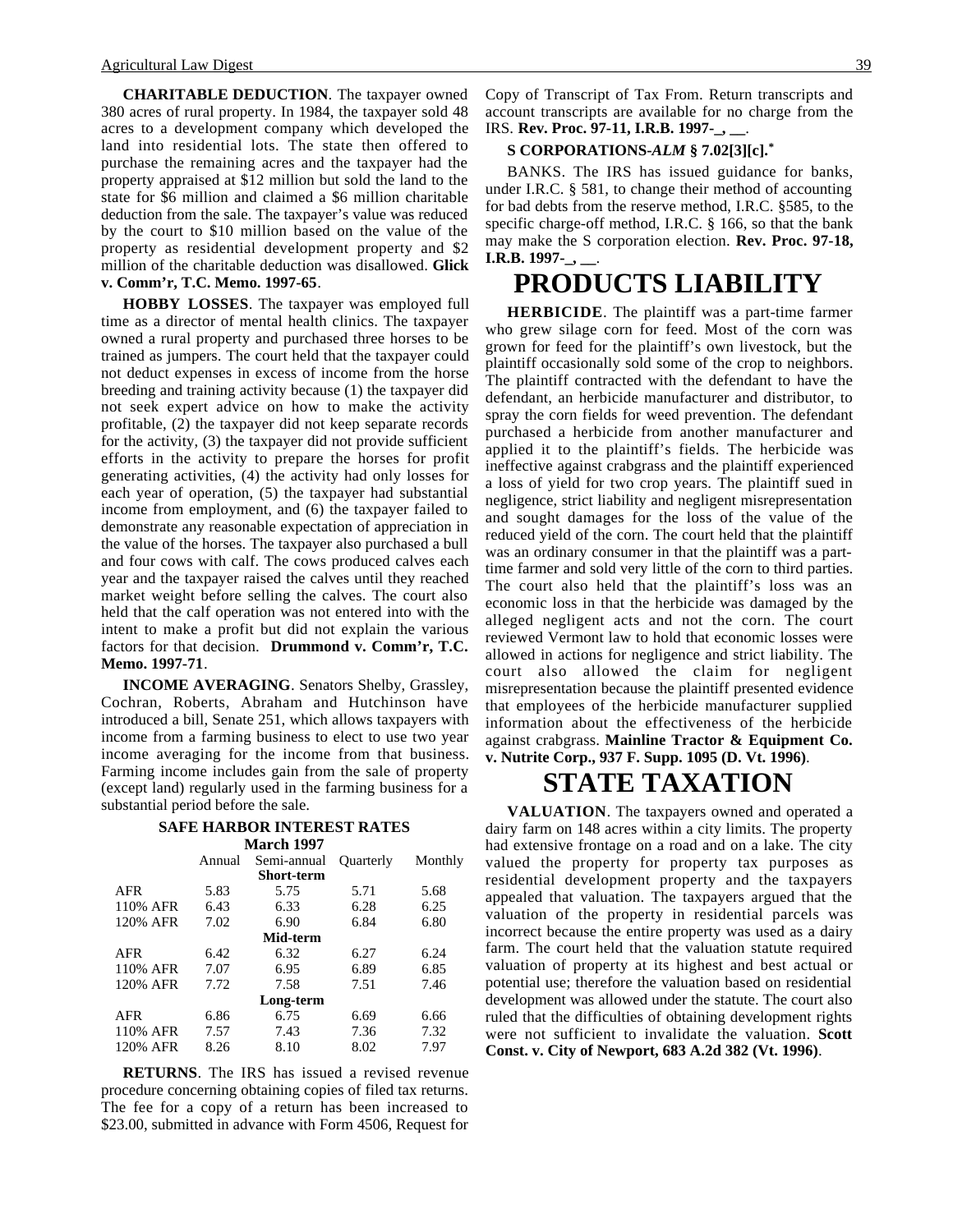**CHARITABLE DEDUCTION**. The taxpayer owned 380 acres of rural property. In 1984, the taxpayer sold 48 acres to a development company which developed the land into residential lots. The state then offered to purchase the remaining acres and the taxpayer had the property appraised at \$12 million but sold the land to the state for \$6 million and claimed a \$6 million charitable deduction from the sale. The taxpayer's value was reduced by the court to \$10 million based on the value of the property as residential development property and \$2 million of the charitable deduction was disallowed. **Glick v. Comm'r, T.C. Memo. 1997-65**.

**HOBBY LOSSES**. The taxpayer was employed full time as a director of mental health clinics. The taxpayer owned a rural property and purchased three horses to be trained as jumpers. The court held that the taxpayer could not deduct expenses in excess of income from the horse breeding and training activity because (1) the taxpayer did not seek expert advice on how to make the activity profitable, (2) the taxpayer did not keep separate records for the activity, (3) the taxpayer did not provide sufficient efforts in the activity to prepare the horses for profit generating activities, (4) the activity had only losses for each year of operation, (5) the taxpayer had substantial income from employment, and (6) the taxpayer failed to demonstrate any reasonable expectation of appreciation in the value of the horses. The taxpayer also purchased a bull and four cows with calf. The cows produced calves each year and the taxpayer raised the calves until they reached market weight before selling the calves. The court also held that the calf operation was not entered into with the intent to make a profit but did not explain the various factors for that decision. **Drummond v. Comm'r, T.C. Memo. 1997-71**.

**INCOME AVERAGING**. Senators Shelby, Grassley, Cochran, Roberts, Abraham and Hutchinson have introduced a bill, Senate 251, which allows taxpayers with income from a farming business to elect to use two year income averaging for the income from that business. Farming income includes gain from the sale of property (except land) regularly used in the farming business for a substantial period before the sale.

#### **SAFE HARBOR INTEREST RATES March 1997** Annual Semi-annual Quarterly Monthly

|      | <b>Short-term</b> |      |      |
|------|-------------------|------|------|
| 5.83 | 5.75              | 5.71 | 5.68 |
| 6.43 | 6.33              | 6.28 | 6.25 |
| 7.02 | 6.90              | 6.84 | 6.80 |
|      | Mid-term          |      |      |
| 6.42 | 6.32              | 6.27 | 6.24 |
| 7.07 | 6.95              | 6.89 | 6.85 |
| 7.72 | 7.58              | 7.51 | 7.46 |
|      | Long-term         |      |      |
| 6.86 | 6.75              | 6.69 | 6.66 |
| 7.57 | 7.43              | 7.36 | 7.32 |
| 8.26 | 8.10              | 8.02 | 7.97 |
|      |                   |      |      |

**RETURNS**. The IRS has issued a revised revenue procedure concerning obtaining copies of filed tax returns. The fee for a copy of a return has been increased to \$23.00, submitted in advance with Form 4506, Request for

Copy of Transcript of Tax From. Return transcripts and account transcripts are available for no charge from the IRS. **Rev. Proc. 97-11, I.R.B. 1997-\_, \_\_**.

#### **S CORPORATIONS-***ALM* **§ 7.02[3][c].\***

BANKS. The IRS has issued guidance for banks, under I.R.C. § 581, to change their method of accounting for bad debts from the reserve method, I.R.C. §585, to the specific charge-off method, I.R.C. § 166, so that the bank may make the S corporation election. **Rev. Proc. 97-18, I.R.B. 1997-\_, \_\_**.

## **PRODUCTS LIABILITY**

**HERBICIDE**. The plaintiff was a part-time farmer who grew silage corn for feed. Most of the corn was grown for feed for the plaintiff's own livestock, but the plaintiff occasionally sold some of the crop to neighbors. The plaintiff contracted with the defendant to have the defendant, an herbicide manufacturer and distributor, to spray the corn fields for weed prevention. The defendant purchased a herbicide from another manufacturer and applied it to the plaintiff's fields. The herbicide was ineffective against crabgrass and the plaintiff experienced a loss of yield for two crop years. The plaintiff sued in negligence, strict liability and negligent misrepresentation and sought damages for the loss of the value of the reduced yield of the corn. The court held that the plaintiff was an ordinary consumer in that the plaintiff was a parttime farmer and sold very little of the corn to third parties. The court also held that the plaintiff's loss was an economic loss in that the herbicide was damaged by the alleged negligent acts and not the corn. The court reviewed Vermont law to hold that economic losses were allowed in actions for negligence and strict liability. The court also allowed the claim for negligent misrepresentation because the plaintiff presented evidence that employees of the herbicide manufacturer supplied information about the effectiveness of the herbicide against crabgrass. **Mainline Tractor & Equipment Co. v. Nutrite Corp., 937 F. Supp. 1095 (D. Vt. 1996)**.

## **STATE TAXATION**

**VALUATION**. The taxpayers owned and operated a dairy farm on 148 acres within a city limits. The property had extensive frontage on a road and on a lake. The city valued the property for property tax purposes as residential development property and the taxpayers appealed that valuation. The taxpayers argued that the valuation of the property in residential parcels was incorrect because the entire property was used as a dairy farm. The court held that the valuation statute required valuation of property at its highest and best actual or potential use; therefore the valuation based on residential development was allowed under the statute. The court also ruled that the difficulties of obtaining development rights were not sufficient to invalidate the valuation. **Scott Const. v. City of Newport, 683 A.2d 382 (Vt. 1996)**.